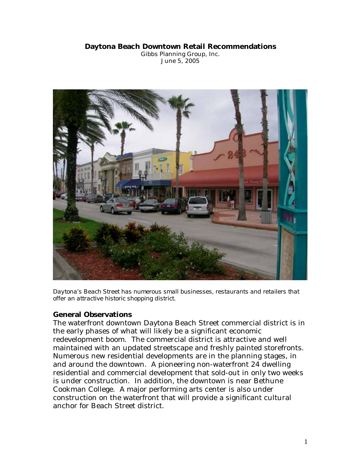#### **Daytona Beach Downtown Retail Recommendations**

Gibbs Planning Group, Inc. June 5, 2005



*Daytona's Beach Street has numerous small businesses, restaurants and retailers that offer an attractive historic shopping district.* 

### **General Observations**

The waterfront downtown Daytona Beach Street commercial district is in the early phases of what will likely be a significant economic redevelopment boom. The commercial district is attractive and well maintained with an updated streetscape and freshly painted storefronts. Numerous new residential developments are in the planning stages, in and around the downtown. A pioneering non-waterfront 24 dwelling residential and commercial development that sold-out in only two weeks is under construction. In addition, the downtown is near Bethune Cookman College. A major performing arts center is also under construction on the waterfront that will provide a significant cultural anchor for Beach Street district.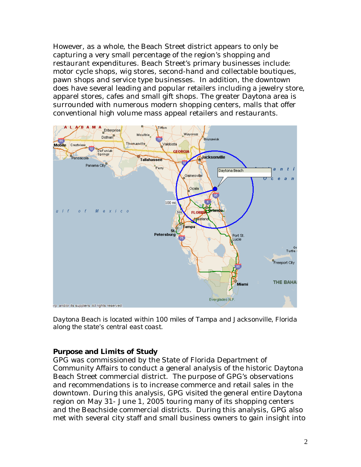However, as a whole, the Beach Street district appears to only be capturing a very small percentage of the region's shopping and restaurant expenditures. Beach Street's primary businesses include: motor cycle shops, wig stores, second-hand and collectable boutiques, pawn shops and service type businesses. In addition, the downtown does have several leading and popular retailers including a jewelry store, apparel stores, cafes and small gift shops. The greater Daytona area is surrounded with numerous modern shopping centers, malls that offer conventional high volume mass appeal retailers and restaurants.



*Daytona Beach is located within 100 miles of Tampa and Jacksonville, Florida along the state's central east coast.* 

### **Purpose and Limits of Study**

GPG was commissioned by the State of Florida Department of Community Affairs to conduct a general analysis of the historic Daytona Beach Street commercial district. The purpose of GPG's observations and recommendations is to increase commerce and retail sales in the downtown. During this analysis, GPG visited the general entire Daytona region on May 31- June 1, 2005 touring many of its shopping centers and the Beachside commercial districts. During this analysis, GPG also met with several city staff and small business owners to gain insight into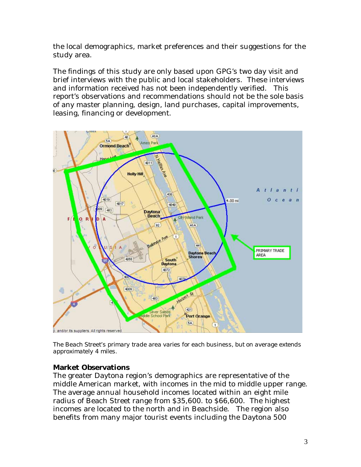the local demographics, market preferences and their suggestions for the study area.

The findings of this study are only based upon GPG's two day visit and brief interviews with the public and local stakeholders. These interviews and information received has not been independently verified. This report's observations and recommendations should not be the sole basis of any master planning, design, land purchases, capital improvements, leasing, financing or development.



*The Beach Street's primary trade area varies for each business, but on average extends approximately 4 miles.*

### **Market Observations**

The greater Daytona region's demographics are representative of the middle American market, with incomes in the mid to middle upper range. The average annual household incomes located within an eight mile radius of Beach Street range from \$35,600. to \$66,600. The highest incomes are located to the north and in Beachside. The region also benefits from many major tourist events including the Daytona 500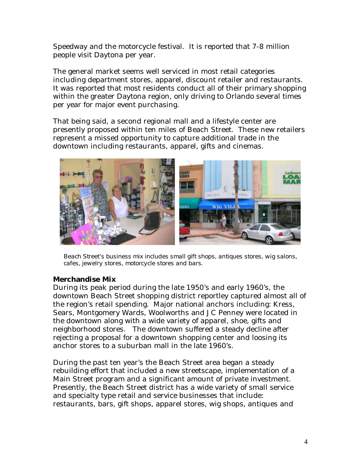Speedway and the motorcycle festival. It is reported that 7-8 million people visit Daytona per year.

The general market seems well serviced in most retail categories including department stores, apparel, discount retailer and restaurants. It was reported that most residents conduct all of their primary shopping within the greater Daytona region, only driving to Orlando several times per year for major event purchasing.

That being said, a second regional mall and a lifestyle center are presently proposed within ten miles of Beach Street. These new retailers represent a missed opportunity to capture additional trade in the downtown including restaurants, apparel, gifts and cinemas.



*Beach Street's business mix includes small gift shops, antiques stores, wig salons, cafes, jewelry stores, motorcycle stores and bars.* 

### **Merchandise Mix**

During its peak period during the late 1950's and early 1960's, the downtown Beach Street shopping district reportley captured almost all of the region's retail spending. Major national anchors including: Kress, Sears, Montgomery Wards, Woolworths and JC Penney were located in the downtown along with a wide variety of apparel, shoe, gifts and neighborhood stores. The downtown suffered a steady decline after rejecting a proposal for a downtown shopping center and loosing its anchor stores to a suburban mall in the late 1960's.

During the past ten year's the Beach Street area began a steady rebuilding effort that included a new streetscape, implementation of a Main Street program and a significant amount of private investment. Presently, the Beach Street district has a wide variety of small service and specialty type retail and service businesses that include: restaurants, bars, gift shops, apparel stores, wig shops, antiques and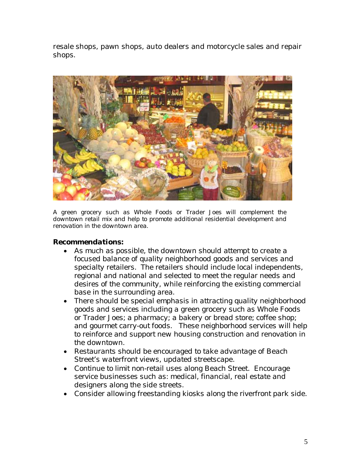resale shops, pawn shops, auto dealers and motorcycle sales and repair shops.



*A green grocery such as Whole Foods or Trader Joes will complement the downtown retail mix and help to promote additional residential development and renovation in the downtown area.* 

### *Recommendations:*

- *As much as possible, the downtown should attempt to create a focused balance of quality neighborhood goods and services and specialty retailers. The retailers should include local independents, regional and national and selected to meet the regular needs and desires of the community, while reinforcing the existing commercial base in the surrounding area.*
- *There should be special emphasis in attracting quality neighborhood goods and services including a green grocery such as Whole Foods or Trader Joes; a pharmacy; a bakery or bread store; coffee shop; and gourmet carry-out foods. These neighborhood services will help to reinforce and support new housing construction and renovation in the downtown.*
- *Restaurants should be encouraged to take advantage of Beach Street's waterfront views, updated streetscape.*
- *Continue to limit non-retail uses along Beach Street. Encourage service businesses such as: medical, financial, real estate and designers along the side streets.*
- *Consider allowing freestanding kiosks along the riverfront park side.*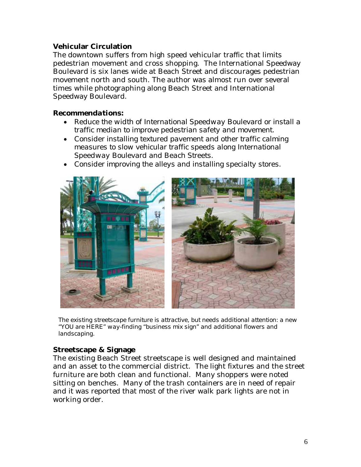### **Vehicular Circulation**

The downtown suffers from high speed vehicular traffic that limits pedestrian movement and cross shopping. The International Speedway Boulevard is six lanes wide at Beach Street and discourages pedestrian movement north and south. The author was almost run over several times while photographing along Beach Street and International Speedway Boulevard.

### *Recommendations:*

- *Reduce the width of International Speedway Boulevard or install a traffic median to improve pedestrian safety and movement.*
- *Consider installing textured pavement and other traffic calming measures to slow vehicular traffic speeds along International Speedway Boulevard and Beach Streets.*
- *Consider improving the alleys and installing specialty stores.*



*The existing streetscape furniture is attractive, but needs additional attention: a new "YOU are HERE" way-finding "business mix sign" and additional flowers and landscaping.* 

### **Streetscape & Signage**

The existing Beach Street streetscape is well designed and maintained and an asset to the commercial district. The light fixtures and the street furniture are both clean and functional. Many shoppers were noted sitting on benches. Many of the trash containers are in need of repair and it was reported that most of the river walk park lights are not in working order.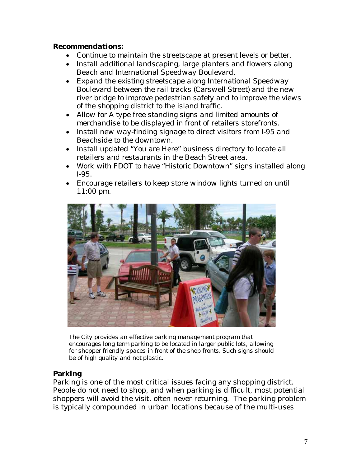#### *Recommendations:*

- *Continue to maintain the streetscape at present levels or better.*
- *Install additional landscaping, large planters and flowers along Beach and International Speedway Boulevard.*
- *Expand the existing streetscape along International Speedway Boulevard between the rail tracks (Carswell Street) and the new river bridge to improve pedestrian safety and to improve the views of the shopping district to the island traffic.*
- *Allow for A type free standing signs and limited amounts of merchandise to be displayed in front of retailers storefronts.*
- *Install new way-finding signage to direct visitors from I-95 and Beachside to the downtown.*
- *Install updated "You are Here" business directory to locate all retailers and restaurants in the Beach Street area.*
- *Work with FDOT to have "Historic Downtown" signs installed along I-95.*
- *Encourage retailers to keep store window lights turned on until 11:00 pm.*



*The City provides an effective parking management program that encourages long term parking to be located in larger public lots, allowing for shopper friendly spaces in front of the shop fronts. Such signs should be of high quality and not plastic.* 

# **Parking**

Parking is one of the most critical issues facing any shopping district. People do not need to shop, and when parking is difficult, most potential shoppers will avoid the visit, often never returning. The parking problem is typically compounded in urban locations because of the multi-uses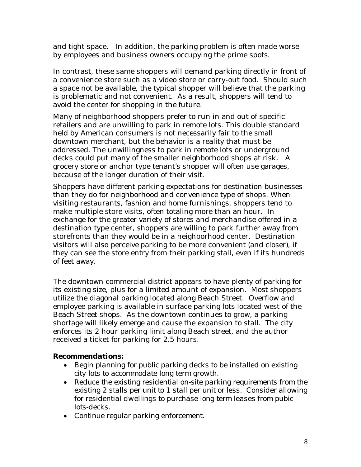and tight space. In addition, the parking problem is often made worse by employees and business owners occupying the prime spots.

In contrast, these same shoppers will demand parking directly in front of a convenience store such as a video store or carry-out food. Should such a space not be available, the typical shopper will believe that the parking is problematic and not convenient. As a result, shoppers will tend to avoid the center for shopping in the future.

Many of neighborhood shoppers prefer to run in and out of specific retailers and are unwilling to park in remote lots. This double standard held by American consumers is not necessarily fair to the small downtown merchant, but the behavior is a reality that must be addressed. The unwillingness to park in remote lots or underground decks could put many of the smaller neighborhood shops at risk. A grocery store or anchor type tenant's shopper will often use garages, because of the longer duration of their visit.

Shoppers have different parking expectations for destination businesses than they do for neighborhood and convenience type of shops. When visiting restaurants, fashion and home furnishings, shoppers tend to make multiple store visits, often totaling more than an hour. In exchange for the greater variety of stores and merchandise offered in a destination type center, shoppers are willing to park further away from storefronts than they would be in a neighborhood center. Destination visitors will also perceive parking to be more convenient (and closer), if they can see the store entry from their parking stall, even if its hundreds of feet away.

The downtown commercial district appears to have plenty of parking for its existing size, plus for a limited amount of expansion. Most shoppers utilize the diagonal parking located along Beach Street. Overflow and employee parking is available in surface parking lots located west of the Beach Street shops. As the downtown continues to grow, a parking shortage will likely emerge and cause the expansion to stall. The city enforces its 2 hour parking limit along Beach street, and the author received a ticket for parking for 2.5 hours.

### *Recommendations:*

- *Begin planning for public parking decks to be installed on existing city lots to accommodate long term growth.*
- *Reduce the existing residential on-site parking requirements from the existing 2 stalls per unit to 1 stall per unit or less. Consider allowing for residential dwellings to purchase long term leases from pubic lots-decks.*
- *Continue regular parking enforcement.*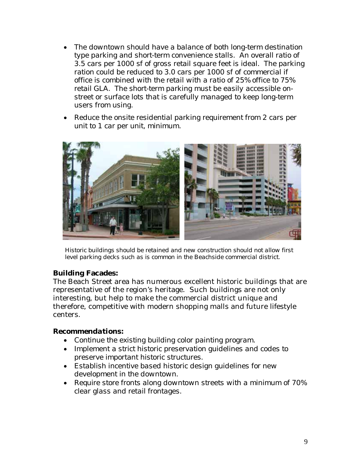- *The downtown should have a balance of both long-term destination type parking and short-term convenience stalls. An overall ratio of 3.5 cars per 1000 sf of gross retail square feet is ideal. The parking ration could be reduced to 3.0 cars per 1000 sf of commercial if office is combined with the retail with a ratio of 25% office to 75% retail GLA. The short-term parking must be easily accessible onstreet or surface lots that is carefully managed to keep long-term users from using.*
- *Reduce the onsite residential parking requirement from 2 cars per unit to 1 car per unit, minimum.*



*Historic buildings should be retained and new construction should not allow first level parking decks such as is common in the Beachside commercial district.* 

### **Building Facades:**

The Beach Street area has numerous excellent historic buildings that are representative of the region's heritage. Such buildings are not only interesting, but help to make the commercial district unique and therefore, competitive with modern shopping malls and future lifestyle centers.

#### *Recommendations:*

- *Continue the existing building color painting program.*
- *Implement a strict historic preservation guidelines and codes to preserve important historic structures.*
- *Establish incentive based historic design guidelines for new development in the downtown.*
- *Require store fronts along downtown streets with a minimum of 70% clear glass and retail frontages.*